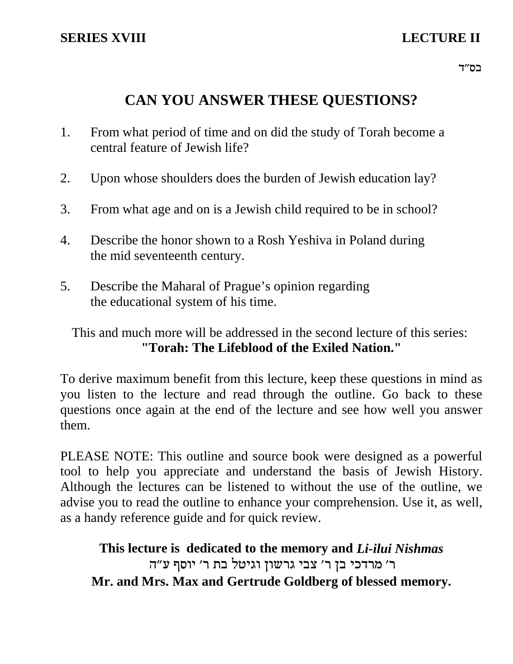# **CAN YOU ANSWER THESE QUESTIONS?**

- 1. From what period of time and on did the study of Torah become a central feature of Jewish life?
- 2. Upon whose shoulders does the burden of Jewish education lay?
- 3. From what age and on is a Jewish child required to be in school?
- 4. Describe the honor shown to a Rosh Yeshiva in Poland during the mid seventeenth century.
- 5. Describe the Maharal of Prague's opinion regarding the educational system of his time.

This and much more will be addressed in the second lecture of this series: **"Torah: The Lifeblood of the Exiled Nation."**

To derive maximum benefit from this lecture, keep these questions in mind as you listen to the lecture and read through the outline. Go back to these questions once again at the end of the lecture and see how well you answer them.

PLEASE NOTE: This outline and source book were designed as a powerful tool to help you appreciate and understand the basis of Jewish History. Although the lectures can be listened to without the use of the outline, we advise you to read the outline to enhance your comprehension. Use it, as well, as a handy reference guide and for quick review.

**This lecture is dedicated to the memory and** *Li-ilui Nishmas* ר' מרדכי בן ר' צבי גרשון וגיטל בת ר' יוסף ע"ה **Mr. and Mrs. Max and Gertrude Goldberg of blessed memory.**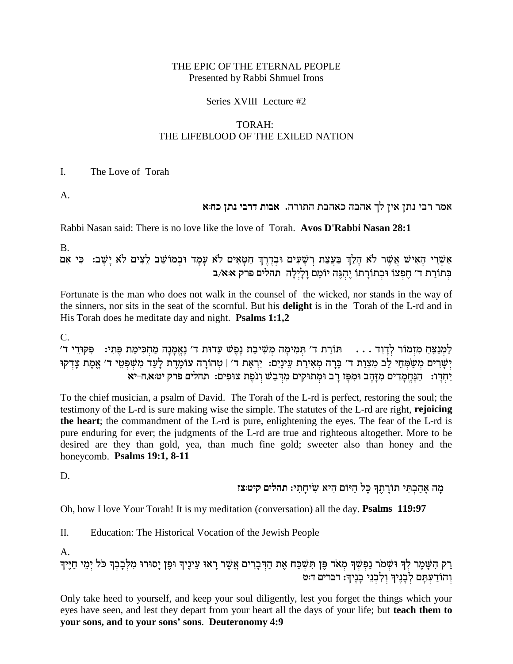#### THE EPIC OF THE ETERNAL PEOPLE Presented by Rabbi Shmuel Irons

#### Series XVIII Lecture #2

#### TORAH: THE LIFEBLOOD OF THE EXILED NATION

 $\mathbf{I}$ . The Love of Torah

A.

## אמר רבי נתן אין לך אהבה כאהבת התורה. אבות דרבי נתן כח:א

Rabbi Nasan said: There is no love like the love of Torah. Avos D'Rabbi Nasan 28:1

**B.** 

אַשְׁרֵי הָאִישׁ אֲשֶׁר לֹא הָלַךְ בַּעֲצַת רְשָׁעִים וּבְדֶרֶךְ חַטָּאִים לֹא עָמָד וּבְמוֹשַׁב לֵצִים לֹא יָשָׁב: כִּי אִם בְתוֹרָת ד׳ חֻפְּצוֹ וּבְתוֹרַתוֹ יֵהְגֶּה יוֹמֵם וַלַיִלַּה תהלים פרק אּא/ב

Fortunate is the man who does not walk in the counsel of the wicked, nor stands in the way of the sinners, nor sits in the seat of the scornful. But his **delight** is in the Torah of the L-rd and in His Torah does he meditate day and night. Psalms 1:1,2

 $\mathcal{C}$ .

לַמְנַצֵּחַ מְזִמוֹר לְדַוְד . . . . תּוֹרַת ד׳ תִּמִימַה מְשִׁיבַת נָפֵשׁ עֲדוּת ד׳ נֵאֱמַנַה מַחְכִּימַת פֵּתְי: . . . . תּוֹרַת ד׳ . יְשָׁרִים מְשַׂמְחֵי לֶב מְצְוַת ד' בָּרָה מְאִירַת עֵינַיִם: יִרְאַת ד' | טְהוֹרָה עוֹמֶרֶת לָעָד מְשִׁפְּטֵי ד' אֱמֶת צָדְקוּ יַחִדֵּו: הַנְחֲמַדִים מְזַהַב וּמִפָּז רַב וּמִתוּקִים מִדְבָשׁ וְנֹפֶת צוּפִים: תהלים פרק יט:א,ח-יא

To the chief musician, a psalm of David. The Torah of the L-rd is perfect, restoring the soul; the testimony of the L-rd is sure making wise the simple. The statutes of the L-rd are right, rejoicing the heart; the commandment of the L-rd is pure, enlightening the eyes. The fear of the L-rd is pure enduring for ever; the judgments of the L-rd are true and righteous altogether. More to be desired are they than gold, yea, than much fine gold; sweeter also than honey and the honeycomb. Psalms 19:1, 8-11

D.

מַה אַהַבְתִּי תוֹרַתֶךְ כַּל הַיּוֹם הָיא שִׂיחַתִי: תהלים קיט:צז

Oh, how I love Your Torah! It is my meditation (conversation) all the day. Psalms 119:97

Π. Education: The Historical Vocation of the Jewish People

 $A_{\cdot}$ 

רַק הִשָּׁמֶר לְךָ וּשְׁמֹר נַפְשְׁךָ מְאֹד פֶּן תִּשְׁכַּח אֶת הַדְּבָרִים אֲשֶׁר רָאוּ עֵינֶיךְ וּפֶן יָסוּרוּ מִלְּבָבְךָ כֹּל יְמֵי חַיֶּיךָ<br>וְהוֹדַעְתָּם לְבָנֵיךָ וְלִבְנֵי בָנֶיךָ: דברים דּ:ט

Only take heed to yourself, and keep your soul diligently, lest you forget the things which your eyes have seen, and lest they depart from your heart all the days of your life; but teach them to your sons, and to your sons' sons. Deuteronomy 4:9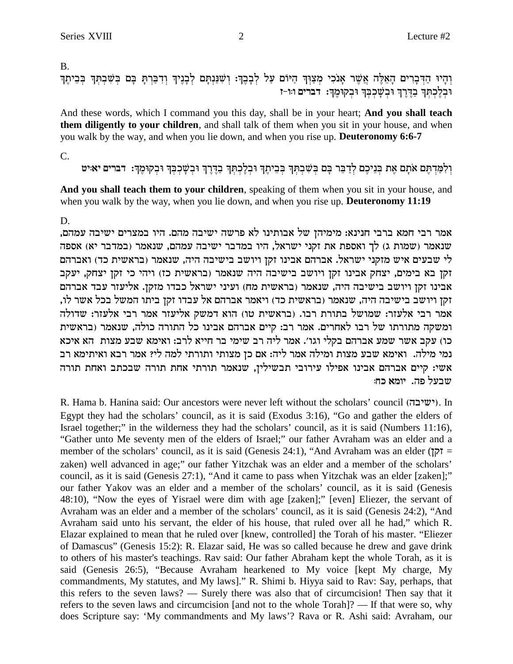$B<sub>1</sub>$ 

וְהָיוּ הַדְּבָרִים הָאֵלֶּה אֲשֶׁר אָנֹכִי מְצַוְּךָ הַיּוֹם עַל לְבָבֶךְ: וְשִׁנַּנְתָּם לְבָנֶיךָ וְדִבַּרְתָּ בָּם בְּשִׁבְתְּךָ בְּבֵיתֶךְ וּבְלֵכְתְּךְ בַדֶּרֶךְ וּבְשָׁכְבְרְ וּבְקוּמֶךְ: דברים וּוּ-ז

And these words, which I command you this day, shall be in your heart; And you shall teach them diligently to your children, and shall talk of them when you sit in your house, and when you walk by the way, and when you lie down, and when you rise up. Deuteronomy 6:6-7

 $C_{\cdot}$ 

וְלְמַרְתֵּם אֹתָם אֶת בְּנֵיכֶם לְדַבֵּר בַּם בְּשָׁבְתִּךְ בְּבֵיתֵךְ וּבְלֶכְתְּךָ בָדֶרֶךְ וּבְשָׁכְבָּךְ וּבְקוּמֵךְ: דברים יאוּיט

And you shall teach them to your children, speaking of them when you sit in your house, and when you walk by the way, when you lie down, and when you rise up. Deuteronomy 11:19

D.

אמר רבי חמא ברבי חנינא: מימיהן של אבותינו לא פרשה ישיבה מהם. היו במצרים ישיבה עמהם, שנאמר (שמות ג) לך ואספת את זקני ישראל, היו במדבר ישיבה עמהם, שנאמר (במדבר יא) אספה לי שבעים איש מזקני ישראל. אברהם אבינו זקן ויושב בישיבה היה, שנאמר (בראשית כד) ואברהם זקן בא בימים, יצחק אבינו זקן ויושב בישיבה היה שנאמר (בראשית כז) ויהי כי זקן יצחק, יעקב אבינו זקן ויושב בישיבה היה, שנאמר (בראשית מח) ועיני ישראל כבדו מזקן. אליעזר עבד אברהם זקן ויושב בישיבה היה, שנאמר (בראשית כד) ויאמר אברהם אל עבדו זקן ביתו המשל בכל אשר לו, אמר רבי אלעזר: שמושל בתורת רבו. (בראשית טו) הוא דמשק אליעזר אמר רבי אלעזר: שדולה ומשקה מתורתו של רבו לאחרים. אמר רב: קיים אברהם אבינו כל התורה כולה, שנאמר (בראשית כו) עקב אשר שמע אברהם בקלי וגו׳. אמר ליה רב שימי בר חייא לרב: ואימא שבע מצות הא איכא נמי מילה. ואימא שבע מצות ומילה אמר ליה: אם כן מצותי ותורתי למה לי? אמר רבא ואיתימא רב אשי: קיים אברהם אבינו אפילו עירובי תבשילין, שנאמר תורתי אחת תורה שבכתב ואחת תורה שבעל פה. יומא כח:

R. Hama b. Hanina said: Our ancestors were never left without the scholars' council (ישיבה). In Egypt they had the scholars' council, as it is said (Exodus 3:16), "Go and gather the elders of Israel together;" in the wilderness they had the scholars' council, as it is said (Numbers 11:16), "Gather unto Me seventy men of the elders of Israel;" our father Avraham was an elder and a member of the scholars' council, as it is said (Genesis 24:1), "And Avraham was an elder ( $\overline{5}$ zaken) well advanced in age;" our father Yitzchak was an elder and a member of the scholars' council, as it is said (Genesis 27:1), "And it came to pass when Yitzchak was an elder [zaken];" our father Yakov was an elder and a member of the scholars' council, as it is said (Genesis 48:10), "Now the eyes of Yisrael were dim with age [zaken];" [even] Eliezer, the servant of Avraham was an elder and a member of the scholars' council, as it is said (Genesis 24:2), "And Avraham said unto his servant, the elder of his house, that ruled over all he had," which R. Elazar explained to mean that he ruled over [knew, controlled] the Torah of his master. "Eliezer of Damascus" (Genesis 15:2): R. Elazar said, He was so called because he drew and gave drink to others of his master's teachings. Rav said: Our father Abraham kept the whole Torah, as it is said (Genesis 26:5), "Because Avraham hearkened to My voice [kept My charge, My commandments, My statutes, and My laws]." R. Shimi b. Hiyya said to Rav: Say, perhaps, that this refers to the seven laws? — Surely there was also that of circumcision! Then say that it refers to the seven laws and circumcision [and not to the whole Torah]? — If that were so, why does Scripture say: 'My commandments and My laws'? Rava or R. Ashi said: Avraham, our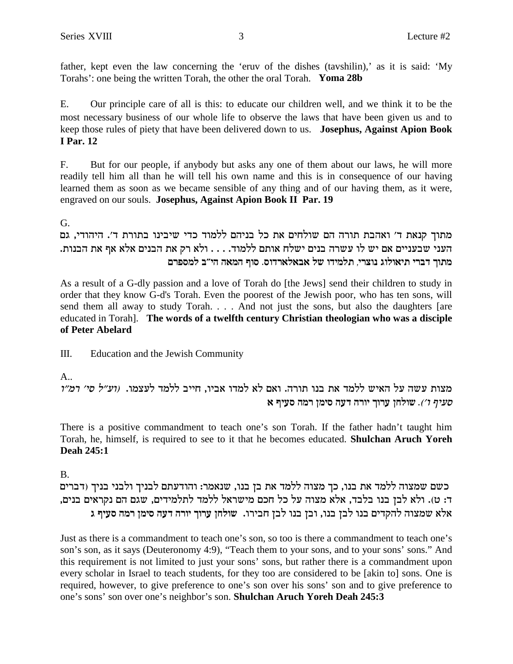father, kept even the law concerning the 'eruv of the dishes (tavshilin),' as it is said: 'My Torahs': one being the written Torah, the other the oral Torah. Yoma 28b

E. Our principle care of all is this: to educate our children well, and we think it to be the most necessary business of our whole life to observe the laws that have been given us and to keep those rules of piety that have been delivered down to us. Josephus, Against Apion Book **I** Par. 12

But for our people, if anybody but asks any one of them about our laws, he will more  $F_{\cdot}$ readily tell him all than he will tell his own name and this is in consequence of our having learned them as soon as we became sensible of any thing and of our having them, as it were, engraved on our souls. Josephus, Against Apion Book II Par. 19

G.

מתוך קנאת ד׳ ואהבת תורה הם שולחים את כל בניהם ללמוד כדי שיבינו בתורת ד׳. היהודי, גם העני שבעניים אם יש לו עשרה בנים ישלח אותם ללמוד. . . . ולא רק את הבנים אלא אף את הבנות. מתוך דברי תיאולוג נוצרי, תלמידו של אבאלארדוס. סוף המאה הי״ב למספרם

As a result of a G-dly passion and a love of Torah do [the Jews] send their children to study in order that they know G-d's Torah. Even the poorest of the Jewish poor, who has ten sons, will send them all away to study Torah. . . . And not just the sons, but also the daughters [are educated in Torah]. The words of a twelfth century Christian theologian who was a disciple of Peter Abelard

Ш. Education and the Jewish Community

 $A_{\cdot\cdot}$ 

מצות עשה על האיש ללמד את בנו תורה. ואם לא למדו אביו, חייב ללמד לעצמו. (וע״ל סי׳ דמ״ו *סעיף ו׳).* שולחן ערוך יורה דעה סימן רמה סעיף א

There is a positive commandment to teach one's son Torah. If the father hadn't taught him Torah, he, himself, is required to see to it that he becomes educated. Shulchan Aruch Yoreh **Deah 245:1** 

**B.** 

כשם שמצוה ללמד את בנו, כך מצוה ללמד את בן בנו, שנאמר: והודעתם לבניך ולבני בניך (דברים ד: ט). ולא לבן בנו בלבד, אלא מצוה על כל חכם מישראל ללמד לתלמידים, שגם הם נקראים בנים, אלא שמצוה להקדים בנו לבן בנו, ובן בנו לבן חבירו. שולחן ערוך יורה דעה סימן רמה סעיף ג

Just as there is a commandment to teach one's son, so too is there a commandment to teach one's son's son, as it says (Deuteronomy 4:9), "Teach them to your sons, and to your sons' sons." And this requirement is not limited to just your sons' sons, but rather there is a commandment upon every scholar in Israel to teach students, for they too are considered to be [akin to] sons. One is required, however, to give preference to one's son over his sons' son and to give preference to one's sons' son over one's neighbor's son. Shulchan Aruch Yoreh Deah 245:3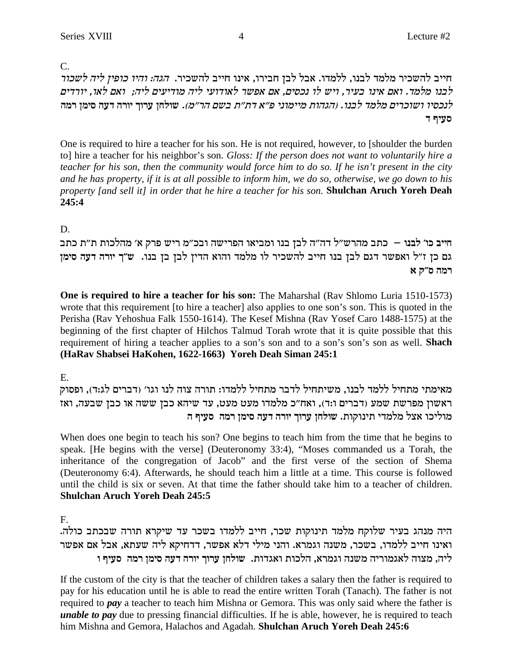$C_{\cdot}$ 

חייב להשכיר מלמד לבנו, ללמדו. אבל לבן חבירו, אינו חייב להשכיר. *הגה: והיו כופין ליה לשכור* לבנו מלמד. ואם אינו בעיר, ויש לו נכסים, אם אפשר לאודועי ליה מודיעים ליה; ואם לאו, יורדים *לנכסיו ושוכרים מלמד לבנו. (הגהות מיימוני פ״א דת״ת בשם הר״מ). שולחן ערוך יורה דעה* סימן רמה **c sirq**

One is required to hire a teacher for his son. He is not required, however, to [shoulder the burden to] hire a teacher for his neighbor's son. *Gloss: If the person does not want to voluntarily hire a teacher for his son, then the community would force him to do so. If he isn't present in the city and he has property, if it is at all possible to inform him, we do so, otherwise, we go down to his property [and sell it] in order that he hire a teacher for his son.* **Shulchan Aruch Yoreh Deah 245:4**

### D.

חייב כו' לבנו – כתב מהרש"ל דה"ה לבן בנו ומביאו הפרישה ובכ"מ ריש פרק א' מהלכות ת"ת כתב גם כן ז"ל ואפשר דגם לבן בנו חייב להשכיר לו מלמד והוא הדין לבן בן בנו. ש"ך יורה דעה סימן **x** *d* **d dn** 

**One is required to hire a teacher for his son:** The Maharshal (Rav Shlomo Luria 1510-1573) wrote that this requirement [to hire a teacher] also applies to one son's son. This is quoted in the Perisha (Rav Yehoshua Falk 1550-1614). The Kesef Mishna (Rav Yosef Caro 1488-1575) at the beginning of the first chapter of Hilchos Talmud Torah wrote that it is quite possible that this requirement of hiring a teacher applies to a son's son and to a son's son's son as well. **Shach (HaRav Shabsei HaKohen, 1622-1663) Yoreh Deah Siman 245:1**

E.

מאימתי מתחיל ללמד לבנו, משיתחיל לדבר מתחיל ללמדו: תורה צוה לנו וגו׳ (דברים לג:ד), ופסוק ראשון מפרשת שמע (דברים ו:ד), ואח"כ מלמדו מעט מעט, עד שיהא כבן ששה או כבן שבעה, ואז **d sirq dnx oniq drc dxei jexr ogley** .zewepiz icnln lv` ekilen

When does one begin to teach his son? One begins to teach him from the time that he begins to speak. [He begins with the verse] (Deuteronomy 33:4), "Moses commanded us a Torah, the inheritance of the congregation of Jacob" and the first verse of the section of Shema (Deuteronomy 6:4). Afterwards, he should teach him a little at a time. This course is followed until the child is six or seven. At that time the father should take him to a teacher of children. **Shulchan Aruch Yoreh Deah 245:5**

F.

היה מנהג בעיר שלוקח מלמד תינוקות שכר, חייב ללמדו בשכר עד שיקרא תורה שבכתב כולה. ואינו חייב ללמדו, בשכר, משנה וגמרא. והני מילי דלא אפשר, דדחיקא ליה שעתא, אבל אם אפשר **e sirq dnx oniq drc dxei jexr ogley** .zecb`e zekld ,`xnbe dpyn dixenb`l devn ,dil

If the custom of the city is that the teacher of children takes a salary then the father is required to pay for his education until he is able to read the entire written Torah (Tanach). The father is not required to *pay* a teacher to teach him Mishna or Gemora. This was only said where the father is *unable to pay* due to pressing financial difficulties. If he is able, however, he is required to teach him Mishna and Gemora, Halachos and Agadah. **Shulchan Aruch Yoreh Deah 245:6**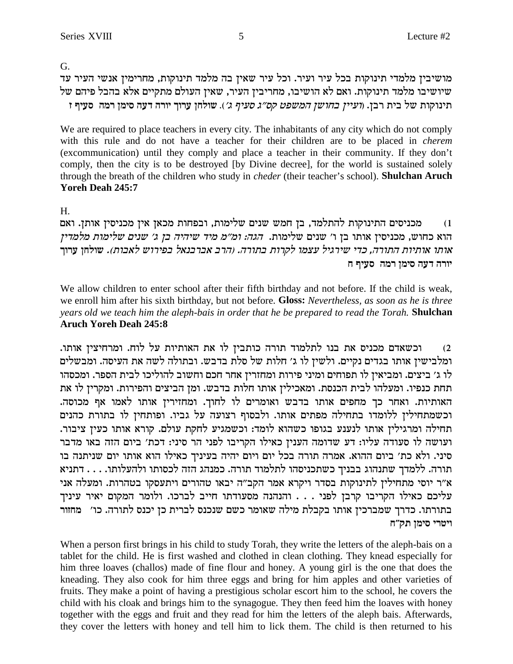G.

מושיבין מלמדי תינוקות בכל עיר ועיר. וכל עיר שאין בה מלמד תינוקות, מחרימין אנשי העיר עד שיושיבו מלמד תינוקות. ואם לא הושיבו, מחריבין העיר, שאין העולם מתקיים אלא בהבל פיהם של **f sirq dnx oniq drc dxei jexr ogley** .('b sirq b"qw htynd oyega oiire) .oax zia ly zewepiz

We are required to place teachers in every city. The inhabitants of any city which do not comply with this rule and do not have a teacher for their children are to be placed in *cherem* (excommunication) until they comply and place a teacher in their community. If they don't comply, then the city is to be destroyed [by Divine decree], for the world is sustained solely through the breath of the children who study in *cheder* (their teacher's school). **Shulchan Aruch Yoreh Deah 245:7**

H.

m מכניסים התינוקות להתלמד, בן חמש שנים שלימות, ובפחות מכאן אין מכניסין אותן. ואם הוא כחוש, מכניסין אותו בן ו' שנים שלימות. *הגה: ומ״מ מיד שיהיה בן ג' שנים שלימות מלמדין* ,<br>אותו אותיות התורה, כדי שירגיל עצמו לקרות בתורה. (הרב אברבנאל בפירוש לאבות). שולחן ערוך **g sirq dnx oniq drc dxei**

We allow children to enter school after their fifth birthday and not before. If the child is weak, we enroll him after his sixth birthday, but not before. **Gloss:** *Nevertheless, as soon as he is three years old we teach him the aleph-bais in order that he be prepared to read the Torah.* **Shulchan Aruch Yoreh Deah 245:8**

... וכשאדם מכניס את בנו לתלמוד תורה כותבין לו את האותיות על לוח. ומרחיצין אותו ומלבישין אותו בגדים נקיים. ולשין לו ג׳ חלות של סלת בדבש. ובתולה לשה את העיסה. ומבשלים לו ג׳ ביצים. ומביאין לו תפוחים ומיני פירות ומחזרין אחר חכם וחשוב להוליכו לבית הספר. ומכסהו תחת כנפיו. ומעלהו לבית הכנסת. ומאכילין אותו חלות בדבש. ומן הביצים והפירות. ומקרין לו את האותיות. ואחר כך מחפים אותו בדבש ואומרים לו לחוך. ומחזיריז אותו לאמו אף מכוסה. וכשמתחילין ללומדו בתחילה מפתים אותו. ולבסוף רצועה על גביו. ופותחין לו בתורת כהנים תחילה ומרגילין אותו לנענע בגופו כשהוא לומד: וכשמגיע לחקת עולם. קורא אותו כעין ציבור. ועושה לו סעודה עליו: דע שדומה הענין כאילו הקריבו לפני הר סיני: דכת' ביום הזה באו מדבר סיני. ולא כת' ביום ההוא. אמרה תורה בכל יום ויום יהיה בעיניך כאילו הוא אותו יום שניתנה בו תורה. ללמדך שתנהוג בבניך כשתכניסהו לתלמוד תורה. כמנהג הזה לכסותו ולהעלותו. . . . דתניא א״ר יוסי מתחילין לתינוקות בסדר ויקרא אמר הקב״ה יבאו טהורים ויתעסקו בטהרות. ומעלה אני עליכם כאילו הקריבו קרבן לפני . . . והנהנה מסעודתו חייב לברכו. ולומר המקום יאיר עיניך בתורתו. כדרך שמברכין אותו בקבלת מילה שאומר כשם שנכנס לברית כן יכנס לתורה. כו׳ מחזור **ויטרי סימן תק"ח** 

When a person first brings in his child to study Torah, they write the letters of the aleph-bais on a tablet for the child. He is first washed and clothed in clean clothing. They knead especially for him three loaves (challos) made of fine flour and honey. A young girl is the one that does the kneading. They also cook for him three eggs and bring for him apples and other varieties of fruits. They make a point of having a prestigious scholar escort him to the school, he covers the child with his cloak and brings him to the synagogue. They then feed him the loaves with honey together with the eggs and fruit and they read for him the letters of the aleph bais. Afterwards, they cover the letters with honey and tell him to lick them. The child is then returned to his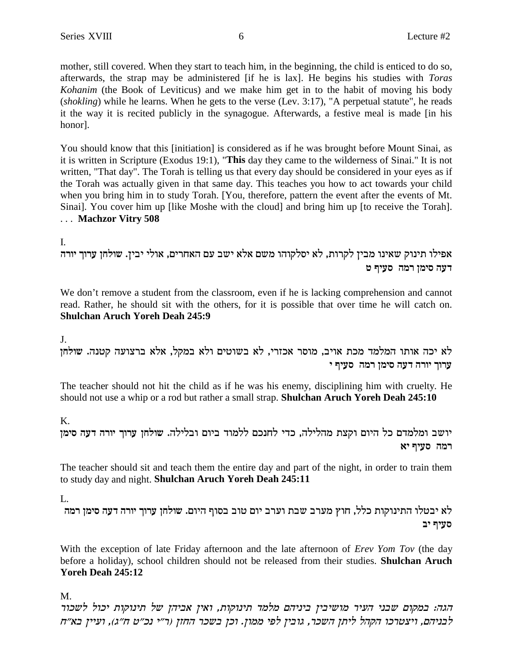mother, still covered. When they start to teach him, in the beginning, the child is enticed to do so, afterwards, the strap may be administered [if he is lax]. He begins his studies with *Toras* Kohanim (the Book of Leviticus) and we make him get in to the habit of moving his body (shokling) while he learns. When he gets to the verse (Lev. 3:17), "A perpetual statute", he reads it the way it is recited publicly in the synagogue. Afterwards, a festive meal is made [in his honor].

You should know that this [initiation] is considered as if he was brought before Mount Sinai, as it is written in Scripture (Exodus 19:1), "This day they came to the wilderness of Sinai." It is not written, "That day". The Torah is telling us that every day should be considered in your eyes as if the Torah was actually given in that same day. This teaches you how to act towards your child when you bring him in to study Torah. [You, therefore, pattern the event after the events of Mt.] Sinai]. You cover him up [like Moshe with the cloud] and bring him up [to receive the Torah]. ... Machzor Vitry 508

L.

אפילו תינוק שאינו מבין לקרות, לא יסלקוהו משם אלא ישב עם האחרים, אולי יבין. שולחן ערוך יורה דעה סימן רמה סעיף ט

We don't remove a student from the classroom, even if he is lacking comprehension and cannot read. Rather, he should sit with the others, for it is possible that over time he will catch on. Shulchan Aruch Yoreh Deah 245:9

J.

לא יכה אותו המלמד מכת אויב, מוסר אכזרי, לא בשוטים ולא במקל, אלא ברצועה קטנה. שולחן ערוך יורה דעה סימן רמה סעיף י

The teacher should not hit the child as if he was his enemy, disciplining him with cruelty. He should not use a whip or a rod but rather a small strap. Shulchan Aruch Yoreh Deah 245:10

 $K_{\cdot}$ 

יושב ומלמדם כל היום וקצת מהלילה, כדי לחנכם ללמוד ביום ובלילה. שולחן ערוך יורה דעה סימן רמה סעיף יא

The teacher should sit and teach them the entire day and part of the night, in order to train them to study day and night. Shulchan Aruch Yoreh Deah 245:11

 $\mathbf{L}$ 

לא יבטלו התינוקות כלל, חוץ מערב שבת וערב יום טוב בסוף היום. שולחן ערוך יורה דעה סימן רמה סעיף יב

With the exception of late Friday afternoon and the late afternoon of *Erev Yom Tov* (the day before a holiday), school children should not be released from their studies. Shulchan Aruch Yoreh Deah 245:12

M.

הגה: במקום שבני העיר מושיבין ביניהם מלמד תינוקות, ואין אביהן של תינוקות יכול לשכור לבניהם, ויצטרכו הקהל ליתן השכר, גובין לפי ממון. וכן בשכר החזן (ר״י נכ״ט ח״ג), ועיין בא״ח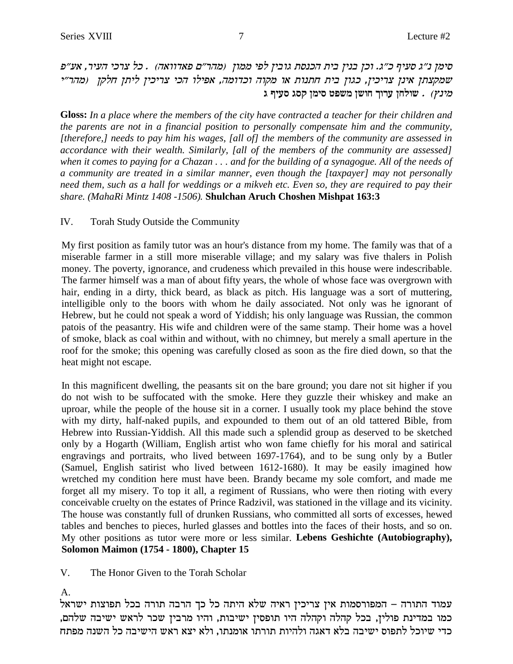סימן נ״ג סעיף כ״ג. וכן בנין בית הכנסת גובין לפי ממון (מהר״ם פאדוואה) . כל צרכי העיר, אע״פ שמקצתן אינן צריכין, כגון בית חתנות או מקוה וכדומה, אפילו הכי צריכין ליתן חלקן (מהר״י **b sirq bqw oniq htyn oyeg jexr ogley** . (upin

**Gloss:** *In a place where the members of the city have contracted a teacher for their children and the parents are not in a financial position to personally compensate him and the community, [therefore,] needs to pay him his wages, [all of] the members of the community are assessed in accordance with their wealth. Similarly, [all of the members of the community are assessed] when it comes to paying for a Chazan . . . and for the building of a synagogue. All of the needs of a community are treated in a similar manner, even though the [taxpayer] may not personally need them, such as a hall for weddings or a mikveh etc. Even so, they are required to pay their share. (MahaRi Mintz 1408 -1506).* **Shulchan Aruch Choshen Mishpat 163:3**

#### IV. Torah Study Outside the Community

My first position as family tutor was an hour's distance from my home. The family was that of a miserable farmer in a still more miserable village; and my salary was five thalers in Polish money. The poverty, ignorance, and crudeness which prevailed in this house were indescribable. The farmer himself was a man of about fifty years, the whole of whose face was overgrown with hair, ending in a dirty, thick beard, as black as pitch. His language was a sort of muttering, intelligible only to the boors with whom he daily associated. Not only was he ignorant of Hebrew, but he could not speak a word of Yiddish; his only language was Russian, the common patois of the peasantry. His wife and children were of the same stamp. Their home was a hovel of smoke, black as coal within and without, with no chimney, but merely a small aperture in the roof for the smoke; this opening was carefully closed as soon as the fire died down, so that the heat might not escape.

In this magnificent dwelling, the peasants sit on the bare ground; you dare not sit higher if you do not wish to be suffocated with the smoke. Here they guzzle their whiskey and make an uproar, while the people of the house sit in a corner. I usually took my place behind the stove with my dirty, half-naked pupils, and expounded to them out of an old tattered Bible, from Hebrew into Russian-Yiddish. All this made such a splendid group as deserved to be sketched only by a Hogarth (William, English artist who won fame chiefly for his moral and satirical engravings and portraits, who lived between 1697-1764), and to be sung only by a Butler (Samuel, English satirist who lived between 1612-1680). It may be easily imagined how wretched my condition here must have been. Brandy became my sole comfort, and made me forget all my misery. To top it all, a regiment of Russians, who were then rioting with every conceivable cruelty on the estates of Prince Radzivil, was stationed in the village and its vicinity. The house was constantly full of drunken Russians, who committed all sorts of excesses, hewed tables and benches to pieces, hurled glasses and bottles into the faces of their hosts, and so on. My other positions as tutor were more or less similar. **Lebens Geshichte (Autobiography), Solomon Maimon (1754 - 1800), Chapter 15**

V. The Honor Given to the Torah Scholar

#### A.

 $\lambda$ עמוד התורה – המפורסמות אין צריכין ראיה שלא היתה כל כך הרבה תורה בכל תפוצות ישראל כמו במדינת פולין, בכל קהלה וקהלה היו תופסין ישיבות, והיו מרבין שכר לראש ישיבה שלהם, כדי שיוכל לתפוס ישיבה בלא דאגה ולהיות תורתו אומנתו. ולא יצא ראש הישיבה כל השנה מפתח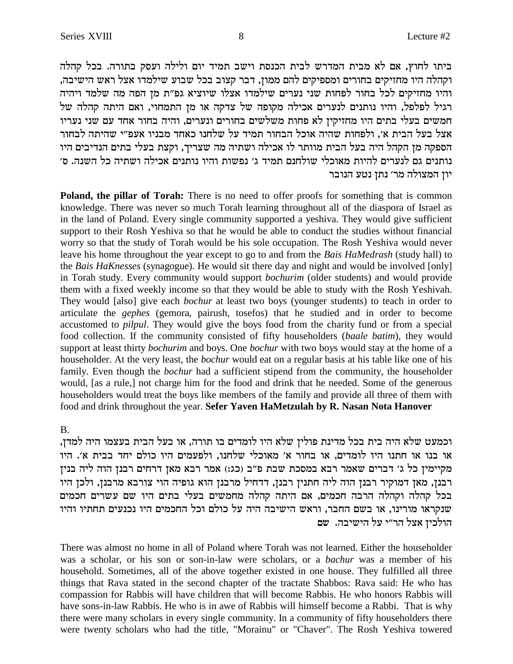ביתו לחוץ, אם לא מבית המדרש לבית הכנסת וישב תמיד יום ולילה ועסק בתורה. בכל קהלה וקהלה היו מחזיקים בחורים ומספיקים להם ממון, דבר קצוב בכל שבוע שילמדו אצל ראש הישיבה, והיו מחזיקים לכל בחור לפחות שני נערים שילמדו אצלו שיוציא גפ״ת מן הפה מה שלמד ויהיה רגיל לפלפל, והיו נותנים לנערים אכילה מקופה של צדקה או מן התמחוי, ואם היתה קהלה של חמשים בעלי בתים היו מחזיקין לא פחות משלשים בחורים ונערים, והיה בחור אחד עם שני נעריו אצל בעל הבית א׳, ולפחות שהיה אוכל הבחור תמיד על שלחנו כאחד מבניו אעפ״י שהיתה לבחור הספקה מן הקהל היה בעל הבית מוותר לו אכילה ושתיה מה שצריך, וקצת בעלי בתים הנדיבים היו 'נותנים גם לנערים להיות מאוכלי שולחנם תמיד ג׳ נפשות והיו נותנים אכילה ושתיה כל השנה. ס יון המצולה מר׳ נתן נטע הנובר

**Poland, the pillar of Torah:** There is no need to offer proofs for something that is common knowledge. There was never so much Torah learning throughout all of the diaspora of Israel as in the land of Poland. Every single community supported a yeshiva. They would give sufficient support to their Rosh Yeshiva so that he would be able to conduct the studies without financial worry so that the study of Torah would be his sole occupation. The Rosh Yeshiva would never leave his home throughout the year except to go to and from the *Bais HaMedrash* (study hall) to the *Bais HaKnesses* (synagogue). He would sit there day and night and would be involved [only] in Torah study. Every community would support *bochurim* (older students) and would provide them with a fixed weekly income so that they would be able to study with the Rosh Yeshivah. They would [also] give each *bochur* at least two boys (younger students) to teach in order to articulate the *gephes* (gemora, pairush, tosefos) that he studied and in order to become accustomed to *pilpul*. They would give the boys food from the charity fund or from a special food collection. If the community consisted of fifty householders (*baale batim*), they would support at least thirty *bochurim* and boys. One *bochur* with two boys would stay at the home of a householder. At the very least, the *bochur* would eat on a regular basis at his table like one of his family. Even though the *bochur* had a sufficient stipend from the community, the householder would, [as a rule,] not charge him for the food and drink that he needed. Some of the generous householders would treat the boys like members of the family and provide all three of them with food and drink throughout the year. **Sefer Yaven HaMetzulah by R. Nasan Nota Hanover**

#### B.

, וכמעט שלא היה בית בכל מדינת פולין שלא היו לומדים בו תורה, או בעל הבית בעצמו היה למדן או בנו או חתנו היו לומדים, או בחור א׳ מאוכלי שלחנו, ולפעמים היו כולם יחד בבית א׳. היו מקיימין כל ג׳ דברים שאמר רבא במסכת שבת פ״ב (כג:) אמר רבא מאן דרחים רבנן הוה ליה בנין .<br>רבנז, מאז דמוקיר רבנז הוה ליה חתניז רבנז, דדחיל מרבנז הוא גופיה הוי צורבא מרבנז, ולכז היו בכל קהלה וקהלה הרבה חכמים, אם היתה קהלה מחמשים בעלי בתים היו שם עשרים חכמים שנקראו מורינו, או בשם החבר, וראש הישיבה היה על כולם וכל החכמים היו נכנעים תחתיו והיו הולכין אצל הר"י על הישיבה. שם

There was almost no home in all of Poland where Torah was not learned. Either the householder was a scholar, or his son or son-in-law were scholars, or a *bachur* was a member of his household. Sometimes, all of the above together existed in one house. They fulfilled all three things that Rava stated in the second chapter of the tractate Shabbos: Rava said: He who has compassion for Rabbis will have children that will become Rabbis. He who honors Rabbis will have sons-in-law Rabbis. He who is in awe of Rabbis will himself become a Rabbi. That is why there were many scholars in every single community. In a community of fifty householders there were twenty scholars who had the title, "Morainu" or "Chaver". The Rosh Yeshiva towered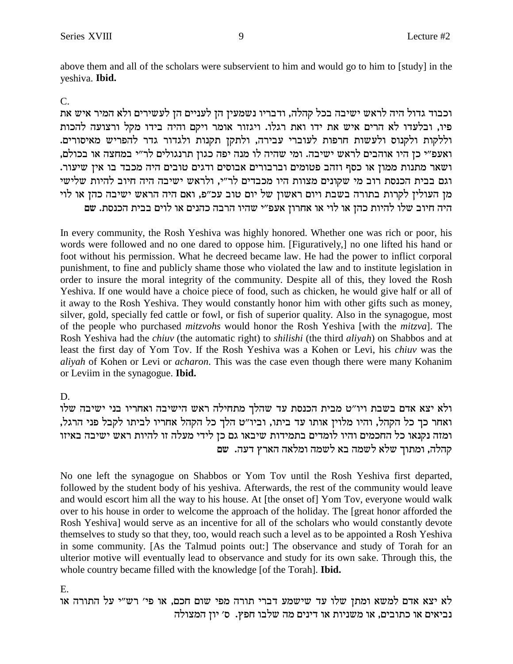above them and all of the scholars were subservient to him and would go to him to [study] in the yeshiva. Ibid.

#### $C_{\cdot}$

וכבוד גדול היה לראש ישיבה בכל קהלה, ודבריו נשמעין הן לעניים הן לעשירים ולא המיר איש את פיו, ובלעדו לא הרים איש את ידו ואת רגלו. ויגזור אומר ויקם והיה בידו מקל ורצועה להכות וללקות ולקנוס ולעשות חרפות לעוברי עבירה, ולתקן תקנות ולגדור גדר להפריש מאיסורים. ואעפ״י כן היו אוהבים לראש ישיבה. ומי שהיה לו מנה יפה כגון תרנגולים לר״י במחצה או בכולם, ושאר מתנות ממון או כסף וזהב פטומים וברבורים אבוסים ודגים טובים היה מכבד בו אין שיעור. וגם בבית הכנסת רוב מי שקונים מצוות היו מכבדים לר"י, ולראש ישיבה היה חיוב להיות שלישי מן העולין לקרות בתורה בשבת ויום ראשון של יום טוב עכ"פ, ואם היה הראש ישיבה כהן או לוי היה חיוב שלו להיות כהן או לוי או אחרון אעפ"י שהיו הרבה כהנים או לוים בבית הכנסת. שם

In every community, the Rosh Yeshiva was highly honored. Whether one was rich or poor, his words were followed and no one dared to oppose him. [Figuratively,] no one lifted his hand or foot without his permission. What he decreed became law. He had the power to inflict corporal punishment, to fine and publicly shame those who violated the law and to institute legislation in order to insure the moral integrity of the community. Despite all of this, they loved the Rosh Yeshiva. If one would have a choice piece of food, such as chicken, he would give half or all of it away to the Rosh Yeshiva. They would constantly honor him with other gifts such as money, silver, gold, specially fed cattle or fowl, or fish of superior quality. Also in the synagogue, most of the people who purchased *mitzvohs* would honor the Rosh Yeshiva [with the *mitzva*]. The Rosh Yeshiva had the *chiuv* (the automatic right) to *shilishi* (the third *aliyah*) on Shabbos and at least the first day of Yom Tov. If the Rosh Yeshiva was a Kohen or Levi, his *chiuv* was the aliyah of Kohen or Levi or acharon. This was the case even though there were many Kohanim or Leviim in the synagogue. Ibid.

#### D.

ולא יצא אדם בשבת ויו"ט מבית הכנסת עד שהלך מתחילה ראש הישיבה ואחריו בני ישיבה שלו ואחר כך כל הקהל, והיו מלוין אותו עד ביתו, וביו"ט הלך כל הקהל אחריו לביתו לקבל פני הרגל, ומזה נקנאו כל החכמים והיו לומדים בתמידות שיבאו גם כן לידי מעלה זו להיות ראש ישיבה באיזו קהלה, ומתוך שלא לשמה בא לשמה ומלאה הארץ דעה. שם

No one left the synagogue on Shabbos or Yom Tov until the Rosh Yeshiva first departed, followed by the student body of his yeshiva. Afterwards, the rest of the community would leave and would escort him all the way to his house. At [the onset of] Yom Tov, everyone would walk over to his house in order to welcome the approach of the holiday. The [great honor afforded the Rosh Yeshival would serve as an incentive for all of the scholars who would constantly devote themselves to study so that they, too, would reach such a level as to be appointed a Rosh Yeshiva in some community. [As the Talmud points out:] The observance and study of Torah for an ulterior motive will eventually lead to observance and study for its own sake. Through this, the whole country became filled with the knowledge [of the Torah]. **Ibid.** 

E.

לא יצא אדם למשא ומתן שלו עד שישמע דברי תורה מפי שום חכם, או פי׳ רש״י על התורה או נביאים או כתובים, או משניות או דינים מה שלבו חפץ. ס׳ יון המצולה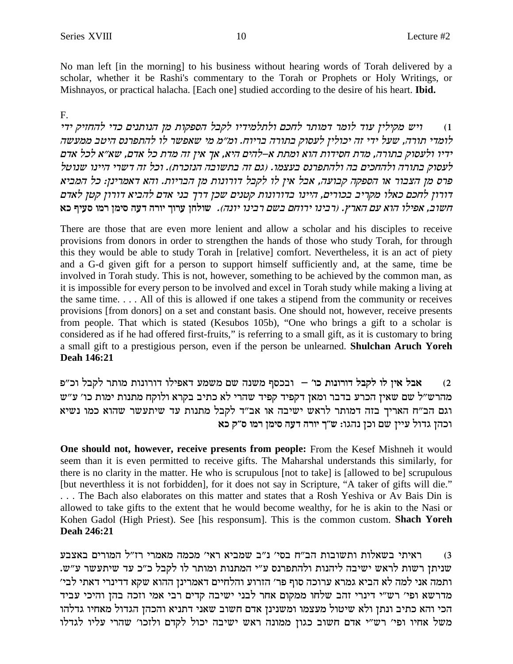No man left [in the morning] to his business without hearing words of Torah delivered by a scholar, whether it be Rashi's commentary to the Torah or Prophets or Holy Writings, or Mishnayos, or practical halacha. [Each one] studied according to the desire of his heart. **Ibid.** 

#### $F_{\cdot}$

ויש מקילין עוד לומר דמותר לחכם ולתלמידיו לקבל הספקות מן הנותנים כדי להחזיק ידי  $(1)$ לומדי תורה, שעל ידי זה יכולין לעסוק בתורה בריוח. ומ״מ מי שאפשר לו להתפרנס היטב ממעשה ידיו ולעסוק בתורה, מדת חסידות הוא ומתת א–להים היא, אך אין זה מדת כל אדם, שא״א לכל אדם לעסוק בתורה ולהחכים בה ולהתפרנס בעצמו. (גם זה בתשובה הנזכרת). וכל זה דשרי היינו שנוטל פרס מן הצבור או הספקה קבועה, אבל אין לו לקבל דורונות מן הבריות. והא דאמרינן: כל המביא דורון לחכם כאלו מקריב בכורים, היינו בדורונות קטנים שכן דרך בני אדם להביא דורון קטן לאדם חשוב, אפילו הוא עם הארץ. (רבינו ירוחם בשם רבינו יונה). שולחן ערוך יורה דעה סימן רמו סעיף כא

There are those that are even more lenient and allow a scholar and his disciples to receive provisions from donors in order to strengthen the hands of those who study Torah, for through this they would be able to study Torah in [relative] comfort. Nevertheless, it is an act of piety and a G-d given gift for a person to support himself sufficiently and, at the same, time be involved in Torah study. This is not, however, something to be achieved by the common man, as it is impossible for every person to be involved and excel in Torah study while making a living at the same time.... All of this is allowed if one takes a stipend from the community or receives provisions [from donors] on a set and constant basis. One should not, however, receive presents from people. That which is stated (Kesubos 105b), "One who brings a gift to a scholar is considered as if he had offered first-fruits," is referring to a small gift, as it is customary to bring a small gift to a prestigious person, even if the person be unlearned. Shulchan Aruch Yoreh Deah 146:21

אבל אין לו לקבל דורונות כו׳ – ובכסף משנה שם משמע דאפילו דורונות מותר לקבל וכ״פ  $(2)$ מהרש"ל שם שאין הכרע בדבר ומאן דקפיד קפיד שהרי לא כתיב בקרא ולוקח מתנות ימות כו' ע"ש וגם הב"ח האריך בזה דמותר לראש ישיבה או אב"ד לקבל מתנות עד שיתעשר שהוא כמו נשיא וכהן גדול עיין שם וכן נהגו: ש"ך יורה דעה סימן רמו ס"ק כא

**One should not, however, receive presents from people:** From the Kesef Mishneh it would seem than it is even permitted to receive gifts. The Maharshal understands this similarly, for there is no clarity in the matter. He who is scrupulous [not to take] is [allowed to be] scrupulous [but neverthless it is not forbidden], for it does not say in Scripture, "A taker of gifts will die." ... The Bach also elaborates on this matter and states that a Rosh Yeshiva or Av Bais Din is allowed to take gifts to the extent that he would become wealthy, for he is akin to the Nasi or Kohen Gadol (High Priest). See [his responsum]. This is the common custom. Shach Yoreh Deah 246:21

ראיתי בשאלות ותשובות הב״ח בסי׳ נ״ב שמביא ראי׳ מכמה מאמרי רז״ל המורים באצבע  $(3)$ שניתן רשות לראש ישיבה ליהנות ולהתפרנס ע"י המתנות ומותר לו לקבל כ"כ עד שיתעשר ע"ש. ותמה אני למה לא הביא גמרא ערוכה סוף פר׳ הזרוע והלחיים דאמרינן ההוא שקא דדינרי דאתי לבי׳ מדרשא ופי׳ רש״י דינרי זהב שלחו ממקום אחר לבני ישיבה קדים רבי אמי וזכה בהן והיכי עביד הכי והא כתיב ונתן ולא שיטול מעצמו ומשנינן אדם חשוב שאני דתניא והכהן הגדול מאחיו גדלהו משל אחיו ופי' רש"י אדם חשוב כגון ממונה ראש ישיבה יכול לקדם ולזכו' שהרי עליו לגדלו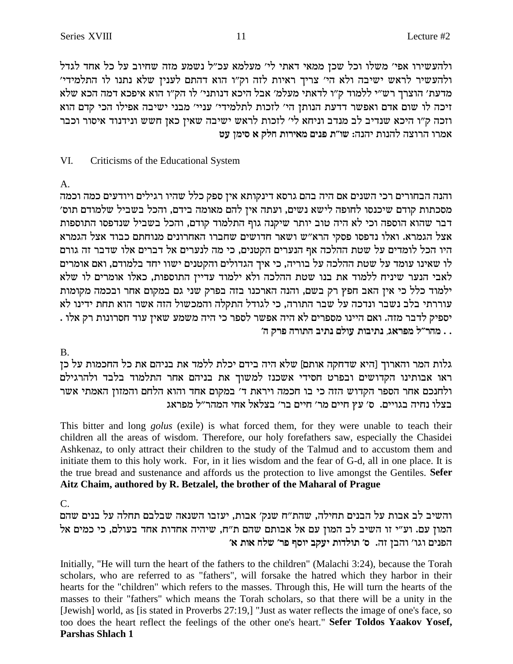ולהעשירו אפי׳ משלו וכל שכן ממאי דאתי לי׳ מעלמא עכ״ל נשמע מזה שחיוב על כל אחד לגדל ולהעשיר לראש ישיבה ולא הי׳ צריך ראיות לזה וק״ו הוא דהתם לענין שלא נתנו לו התלמידי׳ מדעת' הוצרך רש"י ללמוד ק"ו לדאתי מעלמ' אבל היכא דנותני' לו הק"ו הוא איפכא דמה הכא שלא זיכה לו שום אדם ואפשר דדעת הנותן הי׳ לזכות לתלמידי׳ עניי׳ מבני ישיבה אפילו הכי קדם הוא וזכה ק"ו היכא שנדיב לב מנדב וניחא לי' לזכות לראש ישיבה שאין כאן חשש ונידנוד איסור וכבר אמרו הרוצה להנות יהנה: שו״ת פנים מאירות חלק א סימן עט

#### VI. Criticisms of the Educational System

 $A_{1}$ 

והנה הבחורים רכי השנים אם היה בהם גרסא דינקותא אין ספק כלל שהיו רגילים ויודעים כמה וכמה מסכתות קודם שיכנסו לחופה לישא נשים, ועתה אין להם מאומה בידם, והכל בשביל שלמודם תוס׳ דבר שהוא הוספה וכי לא היה טוב יותר שיקנה גוף התלמוד קודם, והכל בשביל שנדפסו התוספות אצל הגמרא. ואלו נדפסו פסקי הרא"ש ושאר חדושים שחברו האחרונים מנוחתם כבוד אצל הגמרא היו הכל לומדים על שטת ההלכה אף הנערים הקטנים, כי מה לנערים אל דברים אלו שדבר זה גורם לו שאינו עומד על שטת ההלכה על בוריה, כי איך הגדולים והקטנים ישוו יחד בלמודם, ואם אומרים לאבי הנער שיניח ללמוד את בנו שטת ההלכה ולא ילמוד עדיין התוספות, כאלו אומרים לו שלא ילמוד כלל כי אין האב חפץ רק בשם, והנה הארכנו בזה בפרק שני גם במקום אחר ובכמה מקומות עוררתי בלב נשבר ונדכה על שבר התורה, כי לגודל התקלה והמכשול הזה אשר הוא תחת ידינו לא יספיק לדבר מזה. ואם היינו מספרים לא היה אפשר לספר כי היה משמע שאין עוד חסרונות רק אלו . . . מהר״ל מפראג, נתיבות עולם נתיב התורה פרק ה׳

**B.** 

גלות המר והארוך [היא שדחקה אותם] שלא היה בידם יכלת ללמד את בניהם את כל החכמות על כן ראו אבותינו הקדושים ובפרט חסידי אשכנז למשוך את בניהם אחר התלמוד בלבד ולהרגילם ולחנכם אחר הספר הקדוש הזה כי בו חכמה ויראת ד' במקום אחד והוא הלחם והמזון האמתי אשר בצלו נחיה בגויים. ס׳ עץ חיים מר׳ חיים בר׳ בצלאל אחי המהר״ל מפראג

This bitter and long *golus* (exile) is what forced them, for they were unable to teach their children all the areas of wisdom. Therefore, our holy forefathers saw, especially the Chasidei Ashkenaz, to only attract their children to the study of the Talmud and to accustom them and initiate them to this holy work. For, in it lies wisdom and the fear of G-d, all in one place. It is the true bread and sustenance and affords us the protection to live amongst the Gentiles. Sefer Aitz Chaim, authored by R. Betzalel, the brother of the Maharal of Prague

 $C_{\cdot}$ 

והשיב לב אבות על הבנים תחילה, שהת"ח שנק' אבות, יעזבו השנאה שבלבם תחלה על בנים שהם המון עם. וע״י זו השיב לב המון עם אל אבותם שהם ת״ח, שיהיה אחדות אחד בעולם, כי כמים אל הפנים וגו' והבן זה. ס' תולדות יעקב יוסף פר' שלח אות א'

Initially, "He will turn the heart of the fathers to the children" (Malachi 3:24), because the Torah scholars, who are referred to as "fathers", will forsake the hatred which they harbor in their hearts for the "children" which refers to the masses. Through this, He will turn the hearts of the masses to their "fathers" which means the Torah scholars, so that there will be a unity in the [Jewish] world, as [is stated in Proverbs 27:19,] "Just as water reflects the image of one's face, so too does the heart reflect the feelings of the other one's heart." Sefer Toldos Yaakov Yosef, **Parshas Shlach 1** 

11